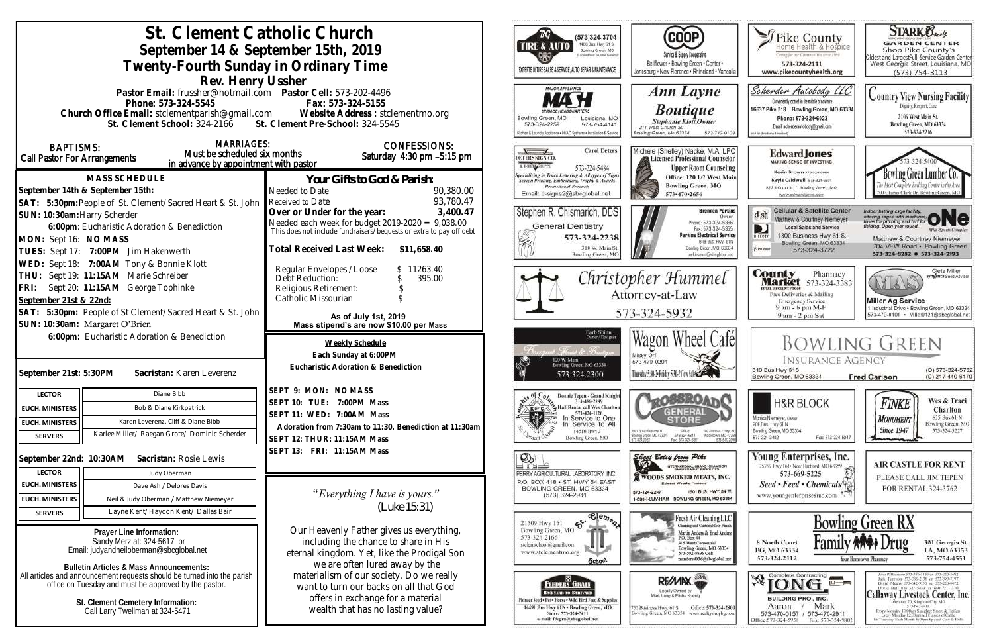| St. Clement Catholic Church<br>September 14 & September 15th, 2019<br>Twenty-Fourth Sunday in Ordinary Time                                                                                                                                                                           |                                                                                                                                                                                                                  | (573)324 3704<br>1400 Bus. Hwy 61 S.<br>TIRE & AUTO<br>Bowling Green, MO<br>cobed meet to Crotian Garriersa<br>EXPERTS IN TIRE SALES & SERVICE, AUTO REPAIR & MAINTENANCE                                           | COOP)<br>Service & Supply Cooperative<br>Bellflower . Bowling Green . Center .<br>Jonesburg . New Florence . Rhineland . Vandalia                                                                             | $\blacktriangleright$ Pike County<br>Home Health & Hospice<br>letter for our Communities struct IWS<br>573-324-2111<br>www.pikecountyhealth.org                                                               | <b>STARK Oxo's</b><br><b>GARDEN CENTER</b><br>Shop Pike County's<br>Oldest and LargestFull-Service Garden Center<br>West Georgia Street, Louisiana, MO<br>$(573) 754 - 3113$                                                                                                                                                                                                                                                  |
|---------------------------------------------------------------------------------------------------------------------------------------------------------------------------------------------------------------------------------------------------------------------------------------|------------------------------------------------------------------------------------------------------------------------------------------------------------------------------------------------------------------|---------------------------------------------------------------------------------------------------------------------------------------------------------------------------------------------------------------------|---------------------------------------------------------------------------------------------------------------------------------------------------------------------------------------------------------------|---------------------------------------------------------------------------------------------------------------------------------------------------------------------------------------------------------------|-------------------------------------------------------------------------------------------------------------------------------------------------------------------------------------------------------------------------------------------------------------------------------------------------------------------------------------------------------------------------------------------------------------------------------|
| Rev. Henry Ussher<br>Pastor Email: frussher@hotmail.com    Pastor Cell: 573-202-4496<br>Fax: 573-324-5155<br>Phone: 573-324-5545<br>Church Office Email: stclementparish@gmail.com Website Address : stclementmo.org<br>St. Clement School: 324-2166 St. Clement Pre-School: 324-5545 |                                                                                                                                                                                                                  | MAJOR APPLIANCE<br>Bowling Green, MO<br>Louisiana, MO<br>573-754-4141<br>573-324-2259<br>Ochen & Laundry Appliance • HVAC Systems • Installation & Service                                                          | Ann Layne<br><b>Boutique</b><br><b>Stephanie Klott</b> , Owner<br>211 West Church St.<br><b>Bowling Green, Mo 63334</b><br>573-719-910                                                                        | Scherder Autobody LLC<br>Conveniently located in the middle of nowhere<br>16637 Pike 318 Bowling Green, MO 63334<br>Phone: 573+324+6023<br>Email: scherderautobody@gmail.com<br>bill for directions if needed | <b>Country View Nursing Facility</b><br>Dignity, Respect, Care<br>2106 West Main St.<br>Bowling Green, MO 63334<br>573-324-2216                                                                                                                                                                                                                                                                                               |
| <b>MARRIAGES:</b><br><b>BAPTISMS:</b><br>Must be scheduled six months<br>Call Pastor For Arrangements<br>in advance by appointment with pastor<br><b>MASS SCHEDULE</b>                                                                                                                | <b>CONFESSIONS:</b><br>Saturday 4:30 pm -5:15 pm<br>Your Gifts to God & Parish:                                                                                                                                  | <b>Carol Deters</b><br>$\sqrt{ }$<br>DETERS SIGN CO.<br>A LSHIN ABORE<br>573-324-5484<br><b>Specializing in Truck Lettering &amp; All types of Signs</b><br>Screen Printing, Embroidery, Trophy & Awards            | Michele (Shelley) Nacke, M.A. LPC<br>Licensed Professional Counselor<br><b>Upper Room Counseling</b><br>Office: 120 1/2 West Main                                                                             | <b>Edward Jones</b><br>MAKING SENSE OF INVESTING<br>Kevin Brown 573-324-6604<br>Kayla Caldwell 373-324-6604                                                                                                   | owling Green Lumber                                                                                                                                                                                                                                                                                                                                                                                                           |
| September 14th & September 15th:<br>SAT: 5:30pm: People of St. Clement/Sacred Heart & St. John                                                                                                                                                                                        | Needed to Date<br>90,380.00<br>93,780.47<br>Received to Date                                                                                                                                                     | Promotional Products<br>Email: d-signs2@sbcglobal.net                                                                                                                                                               | <b>Bowling Green, MO</b><br>573-470-2656                                                                                                                                                                      | 822 S Court St * Bowling Green, MO<br>www.edwardiones.com                                                                                                                                                     | 700 Champ Clark Dr. Bowling Green, M                                                                                                                                                                                                                                                                                                                                                                                          |
| SUN: 10:30am: Harry Scherder<br>6:00pm: Eucharistic Adoration & Benediction<br>MON: Sept 16: NO MASS<br>TUES: Sept 17: 7:00PM Jim Hakenwerth                                                                                                                                          | Over or Under for the year:<br>3,400.47<br>Needed each week for budget $2019-2020 = 9,038.00$<br>This does not include fundraisers/bequests or extra to pay off debt<br>Total Received Last Week:<br>\$11,658.40 | Stephen R. Chismarich, DDS<br><b>General Dentistry</b><br>ž<br>573-324-2238<br>310 W. Main St<br>Bowling Green, MC                                                                                                  | <b>Brennen Perkins</b><br>Dwner<br>Phone: 573-324-5366<br>Fax: 573-324-5355<br><b>Perkins Electrical Service</b><br>B19 Bus. Hwy. 61N<br>Bowling Green, MO. 63334<br>perkinselec@shoclobal.net                | <b>Cellular &amp; Satellite Center</b><br>$d \, sh$<br>Matthew & Courtney Niemeyer<br>Local Sales and Service<br>D<br>1300 Business Hwy 61 S.<br>Bowling Green, MO 63334<br><b>Piatokie</b><br>573-324-3722   | Indoor batting cage facility.<br>offering cages with machines,<br>tares for pitching and turf for<br>lelding. Open year round.<br><b>Milli-Sparts Complex</b><br>Matthew & Courtney Niemeyer<br>704 VFW Road · Bowling Green<br>573-324-8282 0 573-324-2193                                                                                                                                                                   |
| WED: Sept 18: 7:00AM Tony & Bonnie Klott<br>THU: Sept 19: 11:15AM Marie Schreiber<br>FRI: Sept 20: 11:15AM George Tophinke<br>September 21st & 22nd:<br>SAT: 5:30pm: People of St Clement/Sacred Heart & St. John                                                                     | Regular Envelopes / Loose<br>\$11263.40<br>Debt Reduction:<br>395.00<br>Religious Retirement:<br>Catholic Missourian<br>As of July 1st, 2019                                                                     | Christopher Hummel<br>Attorney-at-Law<br>573-324-5932                                                                                                                                                               |                                                                                                                                                                                                               | <b>County</b> Pharmacy<br><b>Market</b> 573-324-3383<br><b>ITAL BISCOUNT PRODS</b><br>Free Deliveries & Mailing<br><b>Emergency Service</b><br>9 am - 6 pm M-F<br>9 am - 2 pm Sat                             | Clete Miller<br>syngenta Sood Adviso<br><b>Miller Ag Service</b><br>1 Industrial Drive . Bowling Green, MO 63334<br>573-470-0101 - Miller0121@sbcglobal.net                                                                                                                                                                                                                                                                   |
| SUN: 10:30am: Margaret O'Brien<br>6:00pm: Eucharistic Adoration & Benediction<br>Sacristan: Karen Leverenz<br>September 21st: 5:30PM                                                                                                                                                  | Mass stipend's are now \$10.00 per Mass<br><b>Weekly Schedule</b><br>Each Sunday at 6:00PM<br>Eucharistic Adoration & Benediction                                                                                | Barb Shinn<br>Ovorr/Designe<br>: Thomas de Bruss<br>120 W. Main<br>Bowling Green, MO 63334<br>573.324.2300                                                                                                          | l Café<br>Wagon Wheel<br>Missy Orf<br>573-470-0291<br>Thursday 5:30-2: Friday 5:30-2 Cow Sales                                                                                                                | <b>INSURANCE AGENCY</b><br>310 Bus Hwy 61S<br>Bowling Green, MO 63334                                                                                                                                         | <b>BOWLING GREEN</b><br>(O) 573-324-5762<br>(C) 217-440-6170<br><b>Fred Carlson</b>                                                                                                                                                                                                                                                                                                                                           |
| Diane Bibb<br><b>LECTOR</b><br>Bob & Diane Kirkpatrick<br><b>EUCH. MINISTERS</b><br>Karen Leverenz, Cliff & Diane Bibb<br><b>EUCH. MINISTERS</b><br>Karlee Miller/ Raegan Grote/ Dominic Scherder<br><b>SERVERS</b>                                                                   | SEPT 9: MON: NO MASS<br>SEPT 10: TUE: 7:00PM Mass<br>SEPT 11: WED: 7:00AM Mass<br>Adoration from 7:30am to 11:30. Benediction at 11:30am<br>SEPT 12: THUR: 11:15AM Mass                                          | Donnie Tepen - Grand Knight<br>314-486-2989<br>Hall Rental call Wes Charlton<br><b>XK or CA</b><br>573-424-1126<br>l×∤<br>In Service to One<br>Service to All<br>14516 Hwy J<br>Bowling Green, MO                   | <b>LeOSSRO</b><br><b>GENERAL</b><br>STORE<br>001 South Business 61<br>Ofice<br>110 Johnson - Hwy 10<br>Middietown, MD 6339<br>Bowlinig Grason, M.D. 63304<br>573-324-6811<br>673-549-209<br>Fax: 573-324-6811 | <b>H&amp;R BLOCK</b><br>Monica Niemeyer, Owner<br>206 Bus. Hwy 61 N<br>Bowling Green, MO 63334<br>573-324-3402<br>Fax: 573-324-5047                                                                           | Wes & Traci<br>Finke<br>Charlton<br>825 Bus 61 N<br>MONUMENT<br>Bowling Green, MO<br><b>Since 1947</b><br>573-324-5227                                                                                                                                                                                                                                                                                                        |
| September 22nd: 10:30AM Sacristan: Rosie Lewis<br><b>LECTOR</b><br>Judy Oberman<br><b>EUCH. MINISTERS</b><br>Dave Ash / Delores Davis                                                                                                                                                 | SEPT 13: FRI: 11:15AM Mass                                                                                                                                                                                       | $\mathcal{D}_\mathbb{L}$<br>PERRY AGRICULTURAL LABORATORY, INC.<br>P.O. BOX 418 . ST. HWY 54 EAST<br>BOWLING GREEN, MO 63334                                                                                        | Singer Belsy from Pike<br>INTERNATIONAL GRAND CHAMFION<br><b>WOODS SMOKED MEATS, INC.</b><br><b>Edward Woods, President</b>                                                                                   | Young Enterprises, Inc.<br>25759 Hwy 161 - New Hartford, MO 63359<br>573-669-5225<br>Seed • Feed • Chemicals <sup>[4]</sup>                                                                                   | <b>AIR CASTLE FOR RENT</b><br>PLEASE CALL JIM TEPEN<br>FOR RENTAL 324-3762                                                                                                                                                                                                                                                                                                                                                    |
| Neil & Judy Oberman / Matthew Niemeyer<br><b>EUCH. MINISTERS</b><br>Layne Kent/Haydon Kent/ Dallas Bair<br><b>SERVERS</b>                                                                                                                                                             | "Everything I have is yours."<br>(Luke 15:31)                                                                                                                                                                    | $(573)$ 324-2931                                                                                                                                                                                                    | 1501 BUS. HWY. 54 W.<br>573-324-2247<br>1-800-I-LUV-HAM BOWLING GREEN, MO 63334                                                                                                                               | www.youngenterprisesinc.com                                                                                                                                                                                   |                                                                                                                                                                                                                                                                                                                                                                                                                               |
| Prayer Line Information:<br>Sandy Merz at: 324-5617 or<br>Email: judyandheiloberman@sbcglobal.net<br><b>Bulletin Articles &amp; Mass Announcements:</b>                                                                                                                               | Our Heavenly Father gives us everything,<br>including the chance to share in His<br>eternal kingdom. Yet, like the Prodigal Son<br>we are often lured away by the                                                | $\overline{\text{e}_{\text{e}_{m}}^{\text{1}}\text{e}_{m}}$<br>$\mathcal{E}$<br>21509 Hwy 161<br>Bowling Green, MO<br>573-324-2166<br>stelemschool@gmail.com<br>www.stclementmo.org<br><b>School</b>                | Fresh Air Cleaning LLC<br>Cleaning and Custom Floor Finish<br>Martin Anders & Brad Anders<br>P.O. Box 44<br>315 West Centennial<br>Bowling Green, MO 63334<br>573-592-9899 Cell<br>manders4036@sbcglobal.ne   | 8 North Court<br>BG, MO 63334<br>573-324-2112                                                                                                                                                                 | <b>Bowling Green RX</b><br>301 Georgia St.<br>LA, MO 63353<br>573-754-4551<br>Your Hometown Pharmacy                                                                                                                                                                                                                                                                                                                          |
| All articles and announcement requests should be turned into the parish<br>office on Tuesday and must be approved by the pastor.<br>St. Clement Cemetery Information:<br>Call Larry Twellman at 324-5471                                                                              | materialism of our society. Do we really<br>want to turn our backs on all that God<br>offers in exchange for a material<br>wealth that has no lasting value?                                                     | ю.<br><b>FEEDERS GRAIN</b><br><b>LACKYARD TO BARNVARD</b><br>finneer Seed + Pet + Horse + Wild Hird Feed & Supplies<br>16491 Bus Hwy 61N . Bowling Green, MO<br>Store: 573-324-5411<br>e-mail: fdsgrn@sbcglobal.net | RE/MIX<br>Locally Owned by<br>Office: 573-324-2800<br>730 Business Hwy, 61 S<br>Bowling Green, MO 63334 www.realtyshopbg.com                                                                                  | $\mathscr{B}$ $\overline{IONG}$ $\overline{C}$<br><b>BUILDING PRO., INC.</b><br>Mark<br>Aaron<br>573-470-0157 / 573-470-2911<br>Office:573-324-5958<br>Fax: 573-324-980                                       | John P. Harrison 573-386-5150 or 573-220-1482<br>Juck Hurrison 573-386-2138 or 573-999-7197<br>David Means 573-642-9753 st 573-220-0472<br>David Bell 816-527-5633 or 660-721-1370<br>Callaway Livestock Center, Inc.<br>reale 70, Kingdoni City, MO.<br>573-642-7480<br>Every Monday 10:00am Sloughter Steers & Heilers<br>Every Meralay 12:30pm All Classes of Cattle<br>at Thursday Each Month 6:00pm Special Cow & Bulls. |